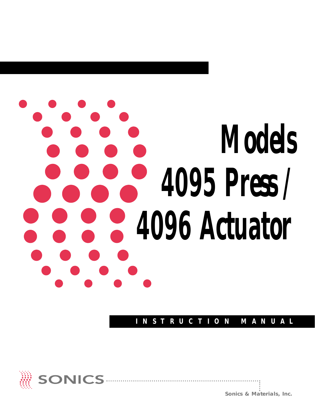

**INSTRUCTION MANUAL**



**Sonics & Materials, Inc.**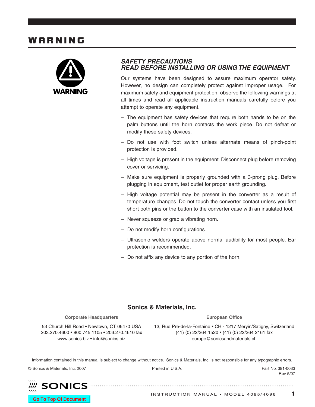## W AR N I N G



#### *SAFETY PRECAUTIONS READ BEFORE INSTALLING OR USING THE EQUIPMENT*

Our systems have been designed to assure maximum operator safety. However, no design can completely protect against improper usage. For maximum safety and equipment protection, observe the following warnings at all times and read all applicable instruction manuals carefully before you attempt to operate any equipment.

- The equipment has safety devices that require both hands to be on the palm buttons until the horn contacts the work piece. Do not defeat or modify these safety devices.
- Do not use with foot switch unless alternate means of pinch-point protection is provided.
- High voltage is present in the equipment. Disconnect plug before removing cover or servicing.
- Make sure equipment is properly grounded with a 3-prong plug. Before plugging in equipment, test outlet for proper earth grounding.
- High voltage potential may be present in the converter as a result of temperature changes. Do not touch the converter contact unless you first short both pins or the button to the converter case with an insulated tool.
- Never squeeze or grab a vibrating horn.
- Do not modify horn configurations.
- Ultrasonic welders operate above normal audibility for most people. Ear protection is recommended.
- Do not affix any device to any portion of the horn.

### **Sonics & Materials, Inc.**

#### **Corporate Headquarters European Office**

53 Church Hill Road • Newtown, CT 06470 USA 13, Rue Pre-de-la-Fontaine • CH - 1217 Meryin/Satigny, Switzerland 203.270.4600 • 800.745.1105 • 203.270.4610 fax (41) (0) 22/364 1520 • (41) (0) 22/364 2161 fax www.sonics.biz • info@sonics.biz europe@sonicsandmaterials.ch

Information contained in this manual is subject to change without notice. Sonics & Materials, Inc. is not responsible for any typographic errors.

© Sonics & Materials, Inc. 2007 Printed in U.S.A. Part No. 381-0033



Rev 5/07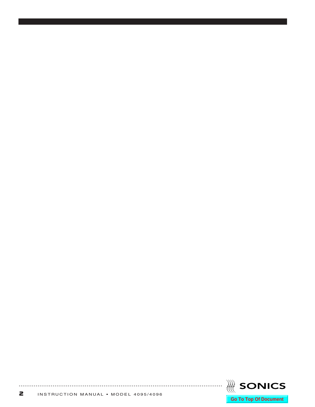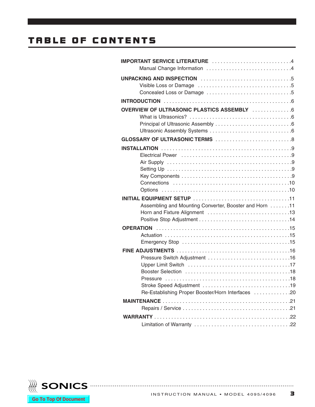# TABLE OF CONTENTS

| IMPORTANT SERVICE LITERATURE 4                         |
|--------------------------------------------------------|
|                                                        |
|                                                        |
| <b>OVERVIEW OF ULTRASONIC PLASTICS ASSEMBLY</b> 6      |
|                                                        |
|                                                        |
| Assembling and Mounting Converter, Booster and Horn 11 |
| <b>OPERATION</b>                                       |
| Re-Establishing Proper Booster/Horn Interfaces 20      |
|                                                        |
|                                                        |
|                                                        |

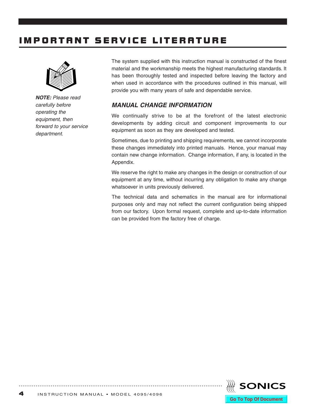# <span id="page-4-0"></span>**MPORTANT SERVICE LITERATURE**



*NOTE: Please read carefully before operating the equipment, then forward to your service department.*

The system supplied with this instruction manual is constructed of the finest material and the workmanship meets the highest manufacturing standards. It has been thoroughly tested and inspected before leaving the factory and when used in accordance with the procedures outlined in this manual, will provide you with many years of safe and dependable service.

#### *MANUAL CHANGE INFORMATION*

We continually strive to be at the forefront of the latest electronic developments by adding circuit and component improvements to our equipment as soon as they are developed and tested.

Sometimes, due to printing and shipping requirements, we cannot incorporate these changes immediately into printed manuals. Hence, your manual may contain new change information. Change information, if any, is located in the Appendix.

We reserve the right to make any changes in the design or construction of our equipment at any time, without incurring any obligation to make any change whatsoever in units previously delivered.

The technical data and schematics in the manual are for informational purposes only and may not reflect the current configuration being shipped from our factory. Upon formal request, complete and up-to-date information can be provided from the factory free of charge.

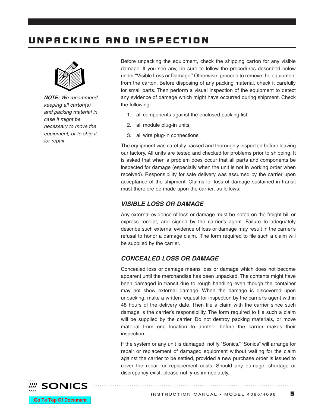# <span id="page-5-0"></span>U N P A CK IN G A N D I N S PE C TI O N



*NOTE: We recommend keeping all carton(s) and packing material in case it might be necessary to move the equipment, or to ship it for repair.*

Before unpacking the equipment, check the shipping carton for any visible damage. If you see any, be sure to follow the procedures described below under "Visible Loss or Damage." Otherwise, proceed to remove the equipment from the carton. Before disposing of any packing material, check it carefully for small parts. Then perform a visual inspection of the equipment to detect any evidence of damage which might have occurred during shipment. Check the following:

- 1. all components against the enclosed packing list,
- 2. all module plug-in units,
- 3. all wire plug-in connections.

The equipment was carefully packed and thoroughly inspected before leaving our factory. All units are tested and checked for problems prior to shipping. It is asked that when a problem does occur that all parts and components be inspected for damage (especially when the unit is not in working order when received). Responsibility for safe delivery was assumed by the carrier upon acceptance of the shipment. Claims for loss of damage sustained in transit must therefore be made upon the carrier, as follows:

### *VISIBLE LOSS OR DAMAGE*

Any external evidence of loss or damage must be noted on the freight bill or express receipt, and signed by the carrier's agent. Failure to adequately describe such external evidence of loss or damage may result in the carrier's refusal to honor a damage claim. The form required to file such a claim will be supplied by the carrier.

### *CONCEALED LOSS OR DAMAGE*

Concealed loss or damage means loss or damage which does not become apparent until the merchandise has been unpacked. The contents might have been damaged in transit due to rough handling even though the container may not show external damage. When the damage is discovered upon unpacking, make a written request for inspection by the carrier's agent within 48 hours of the delivery date. Then file a claim with the carrier since such damage is the carrier's responsibility. The form required to file such a claim will be supplied by the carrier. Do not destroy packing materials, or move material from one location to another before the carrier makes their inspection.

If the system or any unit is damaged, notify "Sonics." "Sonics" will arrange for repair or replacement of damaged equipment without waiting for the claim against the carrier to be settled, provided a new purchase order is issued to cover the repair or replacement costs. Should any damage, shortage or discrepancy exist, please notify us immediately.

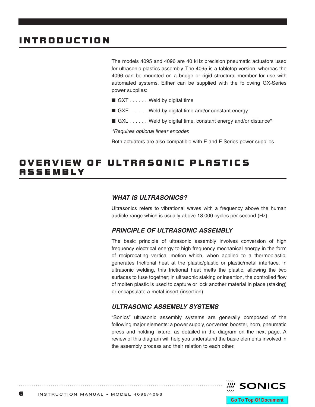# <span id="page-6-0"></span>IN TRODUCTION

The models 4095 and 4096 are 40 kHz precision pneumatic actuators used for ultrasonic plastics assembly. The 4095 is a tabletop version, whereas the 4096 can be mounted on a bridge or rigid structural member for use with automated systems. Either can be supplied with the following GX-Series power supplies:

- GXT . . . . . . . . Weld by digital time
- GXE . . . . . . . Weld by digital time and/or constant energy
- GXL . . . . . . . Weld by digital time, constant energy and/or distance<sup>\*</sup>

*\*Requires optional linear encoder.*

Both actuators are also compatible with E and F Series power supplies.

## OVERVIEW OF ULTRASONIC PLASTICS A S SE M B L Y

#### *WHAT IS ULTRASONICS?*

Ultrasonics refers to vibrational waves with a frequency above the human audible range which is usually above 18,000 cycles per second (Hz).

#### *PRINCIPLE OF ULTRASONIC ASSEMBLY*

The basic principle of ultrasonic assembly involves conversion of high frequency electrical energy to high frequency mechanical energy in the form of reciprocating vertical motion which, when applied to a thermoplastic, generates frictional heat at the plastic/plastic or plastic/metal interface. In ultrasonic welding, this frictional heat melts the plastic, allowing the two surfaces to fuse together; in ultrasonic staking or insertion, the controlled flow of molten plastic is used to capture or lock another material in place (staking) or encapsulate a metal insert (insertion).

#### *ULTRASONIC ASSEMBLY SYSTEMS*

"Sonics" ultrasonic assembly systems are generally composed of the following major elements: a power supply, converter, booster, horn, pneumatic press and holding fixture, as detailed in the diagram on the next page. A review of this diagram will help you understand the basic elements involved in the assembly process and their relation to each other.

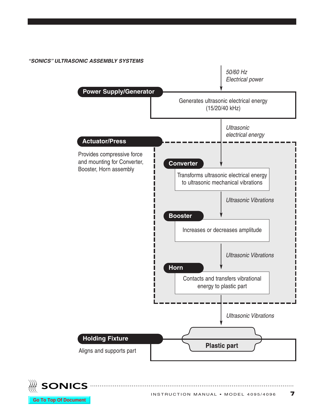



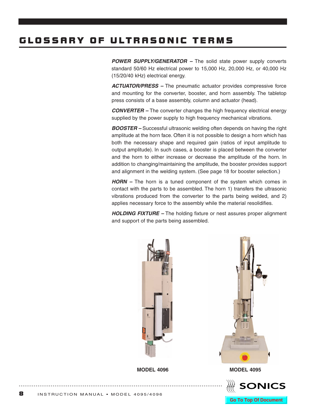# <span id="page-8-0"></span>GLOSSARY OF ULTRASONIC TERMS

*POWER SUPPLY/GENERATOR –* The solid state power supply converts standard 50/60 Hz electrical power to 15,000 Hz, 20,000 Hz, or 40,000 Hz (15/20/40 kHz) electrical energy.

*ACTUATOR/PRESS –* The pneumatic actuator provides compressive force and mounting for the converter, booster, and horn assembly. The tabletop press consists of a base assembly, column and actuator (head).

*CONVERTER –* The converter changes the high frequency electrical energy supplied by the power supply to high frequency mechanical vibrations.

*BOOSTER –* Successful ultrasonic welding often depends on having the right amplitude at the horn face. Often it is not possible to design a horn which has both the necessary shape and required gain (ratios of input amplitude to output amplitude). In such cases, a booster is placed between the converter and the horn to either increase or decrease the amplitude of the horn. In addition to changing/maintaining the amplitude, the booster provides support and alignment in the welding system. (See [page](#page-17-0) 18 for booster selection.)

*HORN –* The horn is a tuned component of the system which comes in contact with the parts to be assembled. The horn 1) transfers the ultrasonic vibrations produced from the converter to the parts being welded, and 2) applies necessary force to the assembly while the material resolidifies.

*HOLDING FIXTURE –* The holding fixture or nest assures proper alignment and support of the parts being assembled.





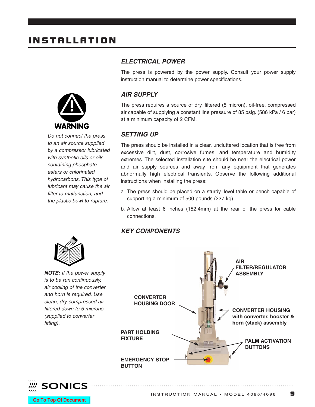# <span id="page-9-0"></span>**INSTALLATION**



*Do not connect the press to an air source supplied by a compressor lubricated with synthetic oils or oils containing phosphate esters or chlorinated hydrocarbons. This type of lubricant may cause the air filter to malfunction, and the plastic bowl to rupture.*

### *ELECTRICAL POWER*

The press is powered by the power supply. Consult your power supply instruction manual to determine power specifications.

### *AIR SUPPLY*

The press requires a source of dry, filtered (5 micron), oil-free, compressed air capable of supplying a constant line pressure of 85 psig. (586 kPa / 6 bar) at a minimum capacity of 2 CFM.

### *SETTING UP*

The press should be installed in a clear, uncluttered location that is free from excessive dirt, dust, corrosive fumes, and temperature and humidity extremes. The selected installation site should be near the electrical power and air supply sources and away from any equipment that generates abnormally high electrical transients. Observe the following additional instructions when installing the press:

- a. The press should be placed on a sturdy, level table or bench capable of supporting a minimum of 500 pounds (227 kg).
- b. Allow at least 6 inches (152.4mm) at the rear of the press for cable connections.

#### *KEY COMPONENTS*



*NOTE: If the power supply is to be run continuously, air cooling of the converter and horn is required. Use clean, dry compressed air filtered down to 5 microns (supplied to converter fitting).*



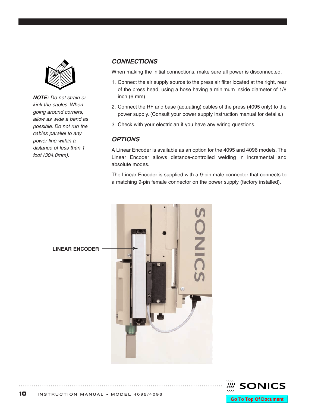<span id="page-10-0"></span>

*NOTE: Do not strain or kink the cables. When going around corners, allow as wide a bend as possible. Do not run the cables parallel to any power line within a distance of less than 1 foot (304.8mm).*

### *CONNECTIONS*

When making the initial connections, make sure all power is disconnected.

- 1. Connect the air supply source to the press air filter located at the right, rear of the press head, using a hose having a minimum inside diameter of 1/8 inch (6 mm).
- 2. Connect the RF and base (actuating) cables of the press (4095 only) to the power supply. (Consult your power supply instruction manual for details.)
- 3. Check with your electrician if you have any wiring questions.

### *OPTIONS*

A Linear Encoder is available as an option for the 4095 and 4096 models.The Linear Encoder allows distance-controlled welding in incremental and absolute modes.

The Linear Encoder is supplied with a 9-pin male connector that connects to a matching 9-pin female connector on the power supply (factory installed).



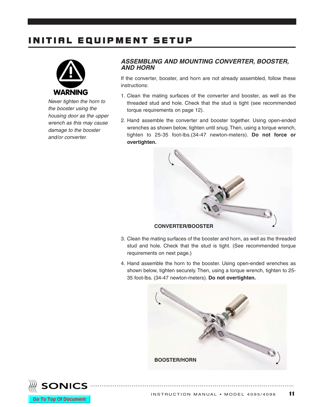# <span id="page-11-0"></span>INITIAL EQUIPMENT SETUP



*Never tighten the horn to the booster using the housing door as the upper wrench as this may cause damage to the booster and/or converter.*

### *ASSEMBLING AND MOUNTING CONVERTER, BOOSTER, AND HORN*

If the converter, booster, and horn are not already assembled, follow these instructions:

- 1. Clean the mating surfaces of the converter and booster, as well as the threaded stud and hole. Check that the stud is tight (see recommended torque requirements on [page](#page-12-0) 12).
- 2. Hand assemble the converter and booster together. Using open-ended wrenches as shown below, tighten until snug.Then, using a torque wrench, tighten to 25-35 foot-lbs.(34-47 newton-meters). **Do not force or overtighten.**



3. Clean the mating surfaces of the booster and horn, as well as the threaded stud and hole. Check that the stud is tight. (See recommended torque

requirements on next page.)

4. Hand assemble the horn to the booster. Using open-ended wrenches as shown below, tighten securely. Then, using a torque wrench, tighten to 25- 35 foot-lbs. (34-47 newton-meters). **Do not overtighten.**



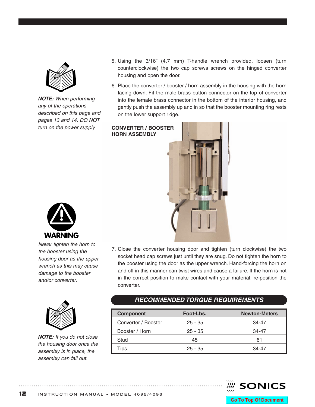<span id="page-12-0"></span>

*NOTE: When performing any of the operations described on this page and [pages](#page-13-0) 13 and [14,](#page-14-0) DO NOT turn on the power supply.*

- 5. Using the 3/16" (4.7 mm) T-handle wrench provided, loosen (turn counterclockwise) the two cap screws screws on the hinged converter housing and open the door.
- 6. Place the converter / booster / horn assembly in the housing with the horn facing down. Fit the male brass button connector on the top of converter into the female brass connector in the bottom of the interior housing, and gently push the assembly up and in so that the booster mounting ring rests on the lower support ridge.

**CONVERTER / BOOSTER HORN ASSEMBLY**





*Never tighten the horn to the booster using the housing door as the upper wrench as this may cause damage to the booster and/or converter.*



*NOTE: If you do not close the housing door once the assembly is in place, the assembly can fall out.*

7. Close the converter housing door and tighten (turn clockwise) the two socket head cap screws just until they are snug. Do not tighten the horn to the booster using the door as the upper wrench. Hand-forcing the horn on and off in this manner can twist wires and cause a failure. If the horn is not in the correct position to make contact with your material, re-position the converter.

### *RECOMMENDED TORQUE REQUIREMENTS*

| <b>Component</b>    | Foot-Lbs. | <b>Newton-Meters</b> |
|---------------------|-----------|----------------------|
| Converter / Booster | $25 - 35$ | 34-47                |
| Booster / Horn      | $25 - 35$ | 34-47                |
| Stud                | 45        | 61                   |
| 「ips                | $25 - 35$ | $34 - 47$            |

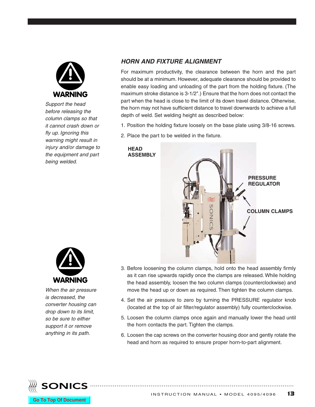<span id="page-13-0"></span>

*Support the head before releasing the column clamps so that it cannot crash down or fly up. Ignoring this warning might result in injury and/or damage to the equipment and part being welded.*

### *HORN AND FIXTURE ALIGNMENT*

For maximum productivity, the clearance between the horn and the part should be at a minimum. However, adequate clearance should be provided to enable easy loading and unloading of the part from the holding fixture. (The maximum stroke distance is 3-1/2".) Ensure that the horn does not contact the part when the head is close to the limit of its down travel distance. Otherwise, the horn may not have sufficient distance to travel downwards to achieve a full depth of weld. Set welding height as described below:

- 1. Position the holding fixture loosely on the base plate using 3/8-16 screws.
- 2. Place the part to be welded in the fixture.





*When the air pressure is decreased, the converter housing can drop down to its limit, so be sure to either support it or remove anything in its path.*

- 3. Before loosening the column clamps, hold onto the head assembly firmly as it can rise upwards rapidly once the clamps are released. While holding the head assembly, loosen the two column clamps (counterclockwise) and move the head up or down as required. Then tighten the column clamps.
- 4. Set the air pressure to zero by turning the PRESSURE regulator knob (located at the top of air filter/regulator assembly) fully counterclockwise.
- 5. Loosen the column clamps once again and manually lower the head until the horn contacts the part. Tighten the clamps.
- 6. Loosen the cap screws on the converter housing door and gently rotate the head and horn as required to ensure proper horn-to-part alignment.

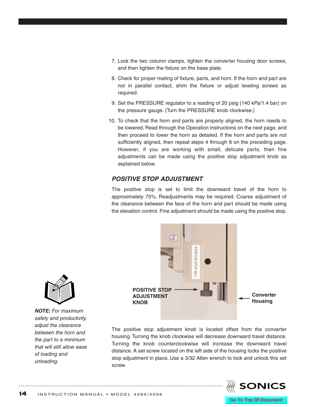- <span id="page-14-0"></span>7. Lock the two column clamps, tighten the converter housing door screws, and then tighten the fixture on the base plate.
- 8. Check for proper mating of fixture, parts, and horn. If the horn and part are not in parallel contact, shim the fixture or adjust leveling screws as required.
- 9. Set the PRESSURE regulator to a reading of 20 psig (140 kPa/1.4 bar) on the pressure gauge. (Turn the PRESSURE knob clockwise.)
- 10. To check that the horn and parts are properly aligned, the horn needs to be lowered. Read through the Operation instructions on the next page, and then proceed to lower the horn as detailed. If the horn and parts are not sufficiently aligned, then repeat steps 4 through 8 on the preceding page. However, if you are working with small, delicate parts, then fine adjustments can be made using the positive stop adjustment knob as explained below.

#### *POSITIVE STOP ADJUSTMENT*

The positive stop is set to limit the downward travel of the horn to approximately 75%. Readjustments may be required. Coarse adjustment of the clearance between the face of the horn and part should be made using the elevation control. Fine adjustment should be made using the positive stop.



The positive stop adjustment knob is located offset from the converter housing. Turning the knob clockwise will decrease downward travel distance. Turning the knob counterclockwise will increase the downward travel distance. A set screw located on the left side of the housing locks the positive stop adjustment in place. Use a 3/32 Allen wrench to lock and unlock this set screw.



**Go To Top Of Document**



*NOTE: For maximum safety and productivity, adjust the clearance between the horn and the part to a minimum that will still allow ease of loading and unloading.*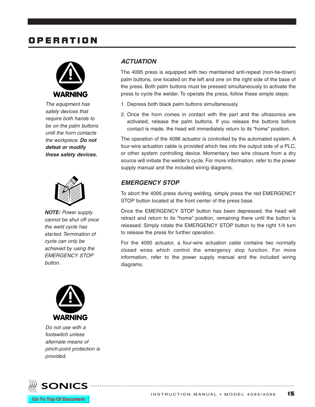# <span id="page-15-0"></span>OP E R A T ION



*The equipment has safety devices that require both hands to be on the palm buttons until the horn contacts the workpiece. Do not defeat or modify these safety devices.*



*NOTE: Power supply cannot be shut off once the weld cycle has started. Termination of cycle can only be achieved by using the EMERGENCY STOP button.*



*Do not use with a footswitch unless alternate means of pinch-point protection is provided.*

### *ACTUATION*

The 4095 press is equipped with two maintained anti-repeat (non-tie-down) palm buttons, one located on the left and one on the right side of the base of the press. Both palm buttons must be pressed simultaneously to activate the press to cycle the welder. To operate the press, follow these simple steps:

- 1. Depress both black palm buttons simultaneously.
- 2. Once the horn comes in contact with the part and the ultrasonics are activated, release the palm buttons. If you release the buttons before contact is made, the head will immediately return to its "home" position.

The operation of the 4096 actuator is controlled by the automated system. A four-wire actuation cable is provided which ties into the output side of a PLC, or other system controlling device. Momentary two wire closure from a dry source will initiate the welder's cycle. For more information, refer to the power supply manual and the included wiring diagrams.

### *EMERGENCY STOP*

To abort the 4095 press during welding, simply press the red EMERGENCY STOP button located at the front center of the press base.

Once the EMERGENCY STOP button has been depressed, the head will retract and return to its "home" position, remaining there until the button is released. Simply rotate the EMERGENCY STOP button to the right 1/4 turn to release the press for further operation.

For the 4095 actuator, a four-wire actuation cable contains two normally closed wires which control the emergency stop function. For more information, refer to the power supply manual and the included wiring diagrams.

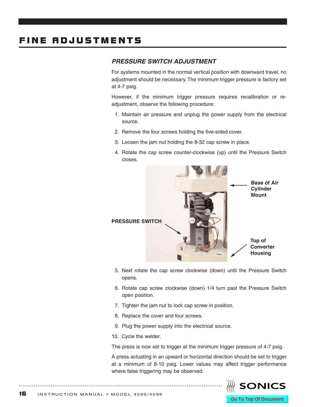# <span id="page-16-0"></span>**FINE ADJUSTMENTS**

#### *PRESSURE SWITCH ADJUSTMENT*

For systems mounted in the normal vertical position with downward travel, no adjustment should be necessary. The minimum trigger pressure is factory set at 4-7 psig.

However, if the minimum trigger pressure requires recalibration or readjustment, observe the following procedure:

- 1. Maintain air pressure and unplug the power supply from the electrical source.
- 2. Remove the four screws holding the five-sided cover.
- 3. Loosen the jam nut holding the 8-32 cap screw in place.
- 4. Rotate the cap screw counter-clockwise (up) until the Pressure Switch closes.



- 5. Next rotate the cap screw clockwise (down) until the Pressure Switch opens.
- 6. Rotate cap screw clockwise (down) 1/4 turn past the Pressure Switch open position.
- 7. Tighten the jam nut to lock cap screw in position.
- 8. Replace the cover and four screws.
- 9. Plug the power supply into the electrical source.
- 10. Cycle the welder.

**• • • • • • • • • • • • • • • • • • • • • • • • • • • • • • • • • • • • • • • • • • • • • • • • • • • • • • • • • • • • • • • • • • • • • • • • • • • • • • • • • • • • • • • • • • • • • • • • • • • • • • • • • • • •**

The press is now set to trigger at the minimum trigger pressure of 4-7 psig.

A press actuating in an upward or horizontal direction should be set to trigger at a minimum of 8-10 psig. Lower values may affect trigger performance where false triggering may be observed.

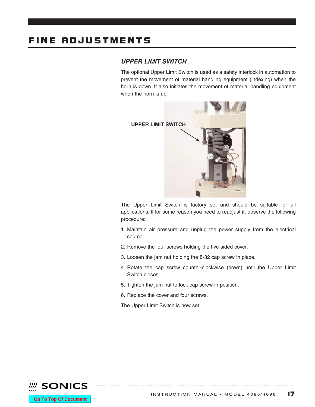# <span id="page-17-0"></span>**FINE ADJUSTMENTS**

### *UPPER LIMIT SWITCH*

The optional Upper Limit Switch is used as a safety interlock in automation to prevent the movement of material handling equipment (indexing) when the horn is down. It also initiates the movement of material handling equipment when the horn is up.



The Upper Limit Switch is factory set and should be suitable for all applications. If for some reason you need to readjust it, observe the following procedure:

- 1. Maintain air pressure and unplug the power supply from the electrical source.
- 2. Remove the four screws holding the five-sided cover.
- 3. Loosen the jam nut holding the 8-32 cap screw in place.
- 4. Rotate the cap screw counter-clockwise (down) until the Upper Limit Switch closes.
- 5. Tighten the jam nut to lock cap screw in position.
- 6. Replace the cover and four screws.

The Upper Limit Switch is now set.

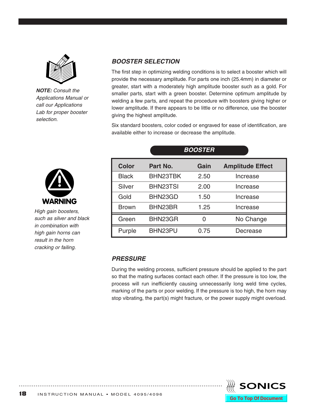<span id="page-18-0"></span>

*NOTE: Consult the Applications Manual or call our Applications Lab for proper booster selection.*

### *BOOSTER SELECTION*

The first step in optimizing welding conditions is to select a booster which will provide the necessary amplitude. For parts one inch (25.4mm) in diameter or greater, start with a moderately high amplitude booster such as a gold. For smaller parts, start with a green booster. Determine optimum amplitude by welding a few parts, and repeat the procedure with boosters giving higher or lower amplitude. If there appears to be little or no difference, use the booster giving the highest amplitude.

Six standard boosters, color coded or engraved for ease of identification, are available either to increase or decrease the amplitude.



*High gain boosters, such as silver and black in combination with high gain horns can result in the horn cracking or failing.*

| <b>BOOSTER</b> |                 |      |                         |  |
|----------------|-----------------|------|-------------------------|--|
| <b>Color</b>   | Part No.        | Gain | <b>Amplitude Effect</b> |  |
| <b>Black</b>   | BHN23TBK        | 2.50 | Increase                |  |
| Silver         | <b>BHN23TSI</b> | 2.00 | Increase                |  |
| Gold           | BHN23GD         | 1.50 | Increase                |  |
| <b>Brown</b>   | BHN23BR         | 1.25 | Increase                |  |
| Green          | BHN23GR         |      | No Change               |  |
| Purple         | BHN23PU         | 0.75 | Decrease                |  |

#### *PRESSURE*

**• • • • • • • • • • • • • • • • • • • • • • • • • • • • • • • • • • • • • • • • • • • • • • • • • • • • • • • • • • • • • • • • • • • • • • • • • • • • • • • • • • • • • • • • • • • • • • • • • • • • • • • • • • • •**

During the welding process, sufficient pressure should be applied to the part so that the mating surfaces contact each other. If the pressure is too low, the process will run inefficiently causing unnecessarily long weld time cycles, marking of the parts or poor welding. If the pressure is too high, the horn may stop vibrating, the part(s) might fracture, or the power supply might overload.

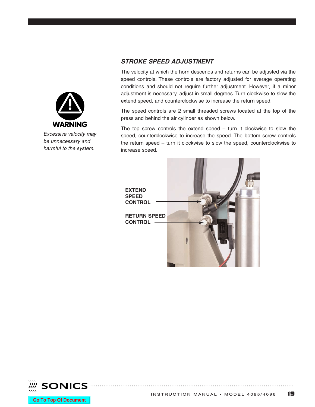<span id="page-19-0"></span>

*Excessive velocity may be unnecessary and harmful to the system.*

### *STROKE SPEED ADJUSTMENT*

The velocity at which the horn descends and returns can be adjusted via the speed controls. These controls are factory adjusted for average operating conditions and should not require further adjustment. However, if a minor adjustment is necessary, adjust in small degrees. Turn clockwise to slow the extend speed, and counterclockwise to increase the return speed.

The speed controls are 2 small threaded screws located at the top of the press and behind the air cylinder as shown below.

The top screw controls the extend speed – turn it clockwise to slow the speed, counterclockwise to increase the speed. The bottom screw controls the return speed – turn it clockwise to slow the speed, counterclockwise to increase speed.



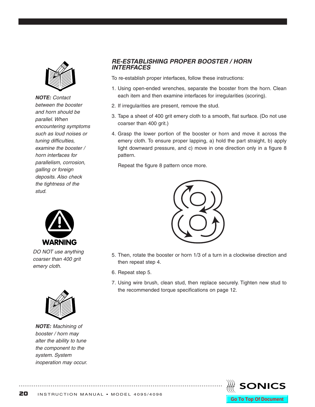<span id="page-20-0"></span>

*NOTE: Contact between the booster and horn should be parallel. When encountering symptoms such as loud noises or tuning difficulties, examine the booster / horn interfaces for parallelism, corrosion, galling or foreign deposits. Also check the tightness of the stud.*



*DO NOT use anything coarser than 400 grit emery cloth.*



*NOTE: Machining of booster / horn may alter the ability to tune the component to the system. System inoperation may occur.*

### *RE-ESTABLISHING PROPER BOOSTER / HORN INTERFACES*

To re-establish proper interfaces, follow these instructions:

- 1. Using open-ended wrenches, separate the booster from the horn. Clean each item and then examine interfaces for irregularities (scoring).
- 2. If irregularities are present, remove the stud.
- 3. Tape a sheet of 400 grit emery cloth to a smooth, flat surface. (Do not use coarser than 400 grit.)
- 4. Grasp the lower portion of the booster or horn and move it across the emery cloth. To ensure proper lapping, a) hold the part straight, b) apply light downward pressure, and c) move in one direction only in a figure 8 pattern.

Repeat the figure 8 pattern once more.



- 5. Then, rotate the booster or horn 1/3 of a turn in a clockwise direction and then repeat step 4.
- 6. Repeat step 5.
- 7. Using wire brush, clean stud, then replace securely. Tighten new stud to the recommended torque specifications on [page](#page-12-0) 12.

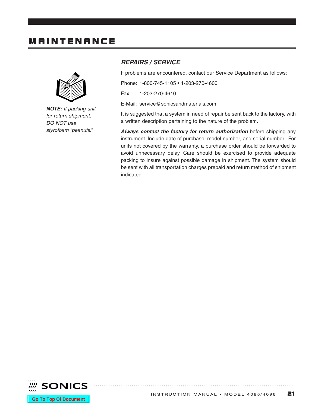# <span id="page-21-0"></span>**MAINTENANCE**



*NOTE: If packing unit for return shipment, DO NOT use styrofoam "peanuts."*

### *REPAIRS / SERVICE*

If problems are encountered, contact our Service Department as follows:

Phone: 1-800-745-1105 • 1-203-270-4600

Fax: 1-203-270-4610

E-Mail: service@sonicsandmaterials.com

It is suggested that a system in need of repair be sent back to the factory, with a written description pertaining to the nature of the problem.

*Always contact the factory for return authorization* before shipping any instrument. Include date of purchase, model number, and serial number. For units not covered by the warranty, a purchase order should be forwarded to avoid unnecessary delay. Care should be exercised to provide adequate packing to insure against possible damage in shipment. The system should be sent with all transportation charges prepaid and return method of shipment indicated.

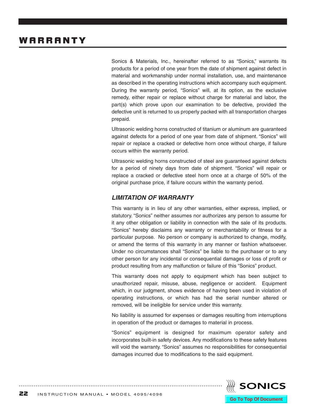<span id="page-22-0"></span>Sonics & Materials, Inc., hereinafter referred to as "Sonics," warrants its products for a period of one year from the date of shipment against defect in material and workmanship under normal installation, use, and maintenance as described in the operating instructions which accompany such equipment. During the warranty period, "Sonics" will, at its option, as the exclusive remedy, either repair or replace without charge for material and labor, the part(s) which prove upon our examination to be defective, provided the defective unit is returned to us properly packed with all transportation charges prepaid.

Ultrasonic welding horns constructed of titanium or aluminum are guaranteed against defects for a period of one year from date of shipment. "Sonics" will repair or replace a cracked or defective horn once without charge, if failure occurs within the warranty period.

Ultrasonic welding horns constructed of steel are guaranteed against defects for a period of ninety days from date of shipment. "Sonics" will repair or replace a cracked or defective steel horn once at a charge of 50% of the original purchase price, if failure occurs within the warranty period.

### *LIMITATION OF WARRANTY*

This warranty is in lieu of any other warranties, either express, implied, or statutory. "Sonics" neither assumes nor authorizes any person to assume for it any other obligation or liability in connection with the sale of its products. "Sonics" hereby disclaims any warranty or merchantability or fitness for a particular purpose. No person or company is authorized to change, modify, or amend the terms of this warranty in any manner or fashion whatsoever. Under no circumstances shall "Sonics" be liable to the purchaser or to any other person for any incidental or consequential damages or loss of profit or product resulting from any malfunction or failure of this "Sonics" product.

This warranty does not apply to equipment which has been subject to unauthorized repair, misuse, abuse, negligence or accident. Equipment which, in our judgment, shows evidence of having been used in violation of operating instructions, or which has had the serial number altered or removed, will be ineligible for service under this warranty.

No liability is assumed for expenses or damages resulting from interruptions in operation of the product or damages to material in process.

"Sonics" equipment is designed for maximum operator safety and incorporates built-in safety devices. Any modifications to these safety features will void the warranty. "Sonics" assumes no responsibilities for consequential damages incurred due to modifications to the said equipment.

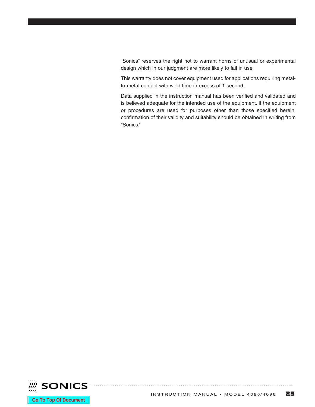"Sonics" reserves the right not to warrant horns of unusual or experimental design which in our judgment are more likely to fail in use.

This warranty does not cover equipment used for applications requiring metalto-metal contact with weld time in excess of 1 second.

Data supplied in the instruction manual has been verified and validated and is believed adequate for the intended use of the equipment. If the equipment or procedures are used for purposes other than those specified herein, confirmation of their validity and suitability should be obtained in writing from "Sonics."